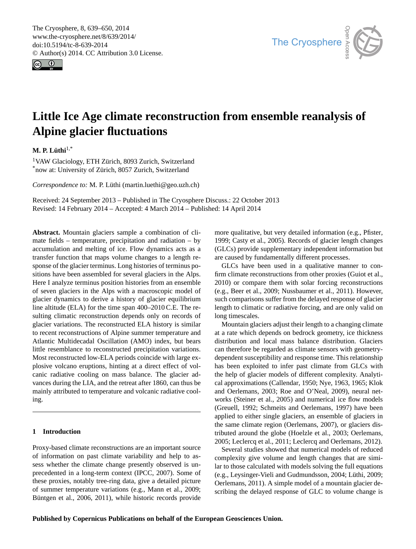<span id="page-0-0"></span>The Cryosphere, 8, 639–650, 2014 www.the-cryosphere.net/8/639/2014/ doi:10.5194/tc-8-639-2014 © Author(s) 2014. CC Attribution 3.0 License.





# **Little Ice Age climate reconstruction from ensemble reanalysis of Alpine glacier fluctuations**

**M. P. Lüthi**1,\*

<sup>1</sup>VAW Glaciology, ETH Zürich, 8093 Zurich, Switzerland \*now at: University of Zürich, 8057 Zurich, Switzerland

*Correspondence to:* M. P. Lüthi (martin.luethi@geo.uzh.ch)

Received: 24 September 2013 – Published in The Cryosphere Discuss.: 22 October 2013 Revised: 14 February 2014 – Accepted: 4 March 2014 – Published: 14 April 2014

**Abstract.** Mountain glaciers sample a combination of climate fields – temperature, precipitation and radiation – by accumulation and melting of ice. Flow dynamics acts as a transfer function that maps volume changes to a length response of the glacier terminus. Long histories of terminus positions have been assembled for several glaciers in the Alps. Here I analyze terminus position histories from an ensemble of seven glaciers in the Alps with a macroscopic model of glacier dynamics to derive a history of glacier equilibrium line altitude (ELA) for the time span 400–2010 C.E. The resulting climatic reconstruction depends only on records of glacier variations. The reconstructed ELA history is similar to recent reconstructions of Alpine summer temperature and Atlantic Multidecadal Oscillation (AMO) index, but bears little resemblance to reconstructed precipitation variations. Most reconstructed low-ELA periods coincide with large explosive volcano eruptions, hinting at a direct effect of volcanic radiative cooling on mass balance. The glacier advances during the LIA, and the retreat after 1860, can thus be mainly attributed to temperature and volcanic radiative cooling.

# **1 Introduction**

Proxy-based climate reconstructions are an important source of information on past climate variability and help to assess whether the climate change presently observed is unprecedented in a long-term context [\(IPCC,](#page-10-0) [2007\)](#page-10-0). Some of these proxies, notably tree-ring data, give a detailed picture of summer temperature variations (e.g., [Mann et al.,](#page-10-1) [2009;](#page-10-1) [Büntgen et al.,](#page-9-0) [2006,](#page-9-0) [2011\)](#page-9-1), while historic records provide more qualitative, but very detailed information (e.g., [Pfister,](#page-11-0) [1999;](#page-11-0) [Casty et al.,](#page-9-2) [2005\)](#page-9-2). Records of glacier length changes (GLCs) provide supplementary independent information but are caused by fundamentally different processes.

GLCs have been used in a qualitative manner to confirm climate reconstructions from other proxies [\(Guiot et al.,](#page-9-3) [2010\)](#page-9-3) or compare them with solar forcing reconstructions (e.g., [Beer et al.,](#page-9-4) [2009;](#page-9-4) [Nussbaumer et al.,](#page-10-2) [2011\)](#page-10-2). However, such comparisons suffer from the delayed response of glacier length to climatic or radiative forcing, and are only valid on long timescales.

Mountain glaciers adjust their length to a changing climate at a rate which depends on bedrock geometry, ice thickness distribution and local mass balance distribution. Glaciers can therefore be regarded as climate sensors with geometrydependent susceptibility and response time. This relationship has been exploited to infer past climate from GLCs with the help of glacier models of different complexity. Analytical approximations [\(Callendar,](#page-9-5) [1950;](#page-9-5) [Nye,](#page-10-3) [1963,](#page-10-3) [1965;](#page-10-4) [Klok](#page-10-5) [and Oerlemans,](#page-10-5) [2003;](#page-10-5) [Roe and O'Neal,](#page-11-1) [2009\)](#page-11-1), neural networks [\(Steiner et al.,](#page-11-2) [2005\)](#page-11-2) and numerical ice flow models [\(Greuell,](#page-9-6) [1992;](#page-9-6) [Schmeits and Oerlemans,](#page-11-3) [1997\)](#page-11-3) have been applied to either single glaciers, an ensemble of glaciers in the same climate region [\(Oerlemans,](#page-10-6) [2007\)](#page-10-6), or glaciers distributed around the globe [\(Hoelzle et al.,](#page-10-7) [2003;](#page-10-7) [Oerlemans,](#page-10-8) [2005;](#page-10-8) [Leclercq et al.,](#page-10-9) [2011;](#page-10-9) [Leclercq and Oerlemans,](#page-10-10) [2012\)](#page-10-10).

Several studies showed that numerical models of reduced complexity give volume and length changes that are similar to those calculated with models solving the full equations (e.g., [Leysinger-Vieli and Gudmundsson,](#page-10-11) [2004;](#page-10-11) [Lüthi,](#page-10-12) [2009;](#page-10-12) [Oerlemans,](#page-11-4) [2011\)](#page-11-4). A simple model of a mountain glacier describing the delayed response of GLC to volume change is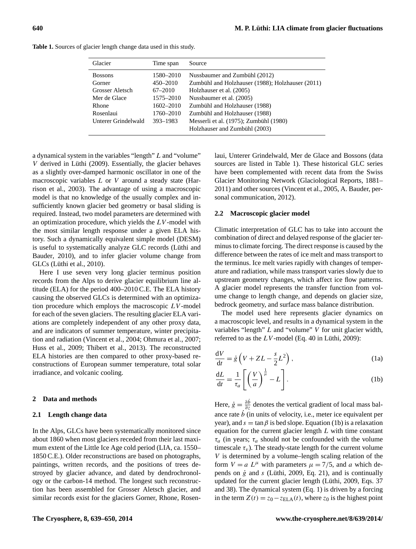| Glacier             | Time span   | Source                                           |
|---------------------|-------------|--------------------------------------------------|
| <b>Bossons</b>      | 1580–2010   | Nussbaumer and Zumbühl (2012)                    |
| Gorner              | 450–2010    | Zumbühl and Holzhauser (1988); Holzhauser (2011) |
| Grosser Aletsch     | $67 - 2010$ | Holzhauser et al. (2005)                         |
| Mer de Glace        | 1575-2010   | Nussbaumer et al. (2005)                         |
| Rhone               | 1602-2010   | Zumbühl and Holzhauser (1988)                    |
| Rosenlaui           | 1760-2010   | Zumbühl and Holzhauser (1988)                    |
| Unterer Grindelwald | 393-1983    | Messerli et al. (1975); Zumbühl (1980)           |
|                     |             | Holzhauser and Zumbühl (2003)                    |

**Table 1.** Sources of glacier length change data used in this study.

a dynamical system in the variables "length" L and "volume" V derived in [Lüthi](#page-10-12) [\(2009\)](#page-10-12). Essentially, the glacier behaves as a slightly over-damped harmonic oscillator in one of the macroscopic variables  $L$  or  $V$  around a steady state [\(Har](#page-9-7)[rison et al.,](#page-9-7) [2003\)](#page-9-7). The advantage of using a macroscopic model is that no knowledge of the usually complex and insufficiently known glacier bed geometry or basal sliding is required. Instead, two model parameters are determined with an optimization procedure, which yields the  $LV$ -model with the most similar length response under a given ELA history. Such a dynamically equivalent simple model (DESM) is useful to systematically analyze GLC records [\(Lüthi and](#page-10-19) [Bauder,](#page-10-19) [2010\)](#page-10-19), and to infer glacier volume change from GLCs [\(Lüthi et al.,](#page-10-20) [2010\)](#page-10-20).

Here I use seven very long glacier terminus position records from the Alps to derive glacier equilibrium line altitude (ELA) for the period 400–2010 C.E. The ELA history causing the observed GLCs is determined with an optimization procedure which employs the macroscopic  $LV$ -model for each of the seven glaciers. The resulting glacier ELA variations are completely independent of any other proxy data, and are indicators of summer temperature, winter precipitation and radiation [\(Vincent et al.,](#page-11-7) [2004;](#page-11-7) [Ohmura et al.,](#page-11-8) [2007;](#page-11-8) [Huss et al.,](#page-10-21) [2009;](#page-10-21) [Thibert et al.,](#page-11-9) [2013\)](#page-11-9). The reconstructed ELA histories are then compared to other proxy-based reconstructions of European summer temperature, total solar irradiance, and volcanic cooling.

# **2 Data and methods**

# **2.1 Length change data**

In the Alps, GLCs have been systematically monitored since about 1860 when most glaciers receded from their last maximum extent of the Little Ice Age cold period (LIA, ca. 1550– 1850 C.E.). Older reconstructions are based on photographs, paintings, written records, and the positions of trees destroyed by glacier advance, and dated by dendrochronology or the carbon-14 method. The longest such reconstruction has been assembled for Grosser Aletsch glacier, and similar records exist for the glaciers Gorner, Rhone, Rosenlaui, Unterer Grindelwald, Mer de Glace and Bossons (data sources are listed in Table 1). These historical GLC series have been complemented with recent data from the Swiss Glacier Monitoring Network [\(Glaciological Reports,](#page-9-8) [1881–](#page-9-8) [2011\)](#page-9-8) and other sources [\(Vincent et al.,](#page-11-10) [2005,](#page-11-10) A. Bauder, personal communication, 2012).

## **2.2 Macroscopic glacier model**

Climatic interpretation of GLC has to take into account the combination of direct and delayed response of the glacier terminus to climate forcing. The direct response is caused by the difference between the rates of ice melt and mass transport to the terminus. Ice melt varies rapidly with changes of temperature and radiation, while mass transport varies slowly due to upstream geometry changes, which affect ice flow patterns. A glacier model represents the transfer function from volume change to length change, and depends on glacier size, bedrock geometry, and surface mass balance distribution.

The model used here represents glacier dynamics on a macroscopic level, and results in a dynamical system in the variables "length"  $L$  and "volume"  $V$  for unit glacier width, referred to as the  $LV$ -model (Eq. 40 in [Lüthi,](#page-10-12) [2009\)](#page-10-12):

<span id="page-1-2"></span><span id="page-1-1"></span>
$$
\frac{dV}{dt} = \dot{g} \left( V + ZL - \frac{s}{2}L^2 \right),\tag{1a}
$$

<span id="page-1-0"></span>
$$
\frac{dL}{dt} = \frac{1}{\tau_a} \left[ \left( \frac{V}{a} \right)^{\frac{1}{\mu}} - L \right].
$$
 (1b)

Here,  $\dot{g} = \frac{\partial \dot{b}}{\partial z}$  denotes the vertical gradient of local mass balance rate  $\dot{b}$  (in units of velocity, i.e., meter ice equivalent per year), and  $s = \tan \beta$  is bed slope. Equation [\(1b\)](#page-1-0) is a relaxation equation for the current glacier length  $L$  with time constant  $\tau_a$  (in years;  $\tau_a$  should not be confounded with the volume timescale  $\tau_v$ ). The steady-state length for the current volume V is determined by a volume–length scaling relation of the form  $V = a L^{\mu}$  with parameters  $\mu = 7/5$ , and a which depends on  $\dot{g}$  and  $s$  [\(Lüthi,](#page-10-12) [2009,](#page-10-12) Eq. 21), and is continually updated for the current glacier length [\(Lüthi,](#page-10-12) [2009,](#page-10-12) Eqs. 37 and 38). The dynamical system (Eq. [1\)](#page-1-1) is driven by a forcing in the term  $Z(t) = z_0 - z_{\text{ELA}}(t)$ , where  $z_0$  is the highest point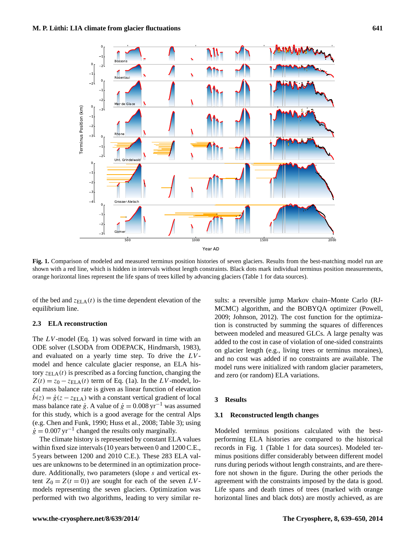

<span id="page-2-0"></span>**Fig. 1.** Comparison of modeled and measured terminus position histories of seven glaciers. Results from the best-matching model run are shown with a red line, which is hidden in intervals without length constraints. Black dots mark individual terminus position measurements, orange horizontal lines represent the life spans of trees killed by advancing glaciers (Table 1 for data sources).

of the bed and  $z_{\text{ELA}}(t)$  is the time dependent elevation of the equilibrium line.

# **2.3 ELA reconstruction**

The  $LV$ -model (Eq. 1) was solved forward in time with an ODE solver (LSODA from ODEPACK, [Hindmarsh,](#page-9-9) [1983\)](#page-9-9), and evaluated on a yearly time step. To drive the  $LV$ model and hence calculate glacier response, an ELA history  $z_{\text{ELA}}(t)$  is prescribed as a forcing function, changing the  $Z(t) = z_0 - z_{\text{ELA}}(t)$  term of Eq. [\(1a\)](#page-1-2). In the LV-model, local mass balance rate is given as linear function of elevation  $\dot{b}(z) = \dot{g}(z - z_{\text{ELA}})$  with a constant vertical gradient of local mass balance rate  $\dot{g}$ . A value of  $\dot{g} = 0.008 \,\text{yr}^{-1}$  was assumed for this study, which is a good average for the central Alps (e.g. [Chen and Funk,](#page-9-10) [1990;](#page-9-10) [Huss et al.,](#page-10-22) [2008;](#page-10-22) Table 3); using  $\dot{g} = 0.007 \text{ yr}^{-1}$  changed the results only marginally.

The climate history is represented by constant ELA values within fixed size intervals (10 years between 0 and 1200 C.E., 5 years between 1200 and 2010 C.E.). These 283 ELA values are unknowns to be determined in an optimization procedure. Additionally, two parameters (slope s and vertical extent  $Z_0 = Z(t = 0)$  are sought for each of the seven LVmodels representing the seven glaciers. Optimization was performed with two algorithms, leading to very similar results: a reversible jump Markov chain–Monte Carlo (RJ-MCMC) algorithm, and the BOBYQA optimizer [\(Powell,](#page-11-11) [2009;](#page-11-11) [Johnson,](#page-10-23) [2012\)](#page-10-23). The cost function for the optimization is constructed by summing the squares of differences between modeled and measured GLCs. A large penalty was added to the cost in case of violation of one-sided constraints on glacier length (e.g., living trees or terminus moraines), and no cost was added if no constraints are available. The model runs were initialized with random glacier parameters, and zero (or random) ELA variations.

# **3 Results**

## **3.1 Reconstructed length changes**

Modeled terminus positions calculated with the bestperforming ELA histories are compared to the historical records in Fig. [1](#page-2-0) (Table 1 for data sources). Modeled terminus positions differ considerably between different model runs during periods without length constraints, and are therefore not shown in the figure. During the other periods the agreement with the constraints imposed by the data is good. Life spans and death times of trees (marked with orange horizontal lines and black dots) are mostly achieved, as are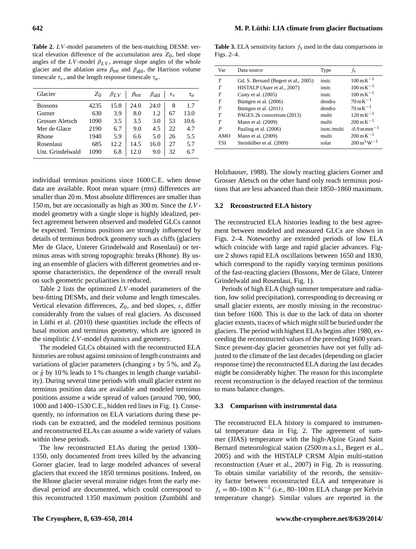<span id="page-3-0"></span>**Table 2.** LV -model parameters of the best-matching DESM: vertical elevation difference of the accumulation area  $Z_0$ , bed slope angles of the  $LV$ -model  $\beta_{LV}$ , average slope angles of the whole glacier and the ablation area  $\beta_{\text{tot}}$  and  $\beta_{\text{abl}}$ , the Harrison volume timescale  $\tau_v$ , and the length response timescale  $\tau_a$ .

| Glacier          | $Z_0$ | $\beta_{LV}$ | $\beta_{\text{tot}}$ | $\beta_{ab1}$ | $\tau_v$ | $\tau_a$ |
|------------------|-------|--------------|----------------------|---------------|----------|----------|
| <b>Bossons</b>   | 4235  | 15.8         | 24.0                 | 24.0          | 8        | 1.7      |
| Gorner           | 630   | 3.9          | 8.0                  | 1.2           | 67       | 13.0     |
| Grosser Aletsch  | 1090  | 3.5          | 3.5                  | 3.0           | 53       | 10.6     |
| Mer de Glace     | 2190  | 6.7          | 9.0                  | 4.5           | 22       | 4.7      |
| Rhone            | 1940  | 5.9          | 6.6                  | 5.0           | 26       | 5.5      |
| Rosenlaui        | 685   | 12.2.        | 14.5                 | 16.0          | 27       | 5.7      |
| Unt. Grindelwald | 1090  | 6.8          | 12.0                 | 9.0           | 32       | 6.7      |
|                  |       |              |                      |               |          |          |

individual terminus positions since 1600 C.E. when dense data are available. Root mean square (rms) differences are smaller than 20 m. Most absolute differences are smaller than 150 m, but are occasionally as high as  $300$  m. Since the  $LV$ model geometry with a single slope is highly idealized, perfect agreement between observed and modeled GLCs cannot be expected. Terminus positions are strongly influenced by details of terminus bedrock geometry such as cliffs (glaciers Mer de Glace, Unterer Grindelwald and Rosenlaui) or terminus areas with strong topographic breaks (Rhone). By using an ensemble of glaciers with different geometries and response characteristics, the dependence of the overall result on such geometric peculiarities is reduced.

Table [2](#page-3-0) lists the optimized  $LV$ -model parameters of the best-fitting DESMs, and their volume and length timescales. Vertical elevation differences,  $Z_0$ , and bed slopes,  $s$ , differ considerably from the values of real glaciers. As discussed in [Lüthi et al.](#page-10-20) [\(2010\)](#page-10-20) these quantities include the effects of basal motion and terminus geometry, which are ignored in the simplistic  $LV$ -model dynamics and geometry.

The modeled GLCs obtained with the reconstructed ELA histories are robust against omission of length constraints and variations of glacier parameters (changing s by  $5\%$ , and  $Z_0$ or  $\dot{g}$  by 10 % leads to 1 % changes in length change variability). During several time periods with small glacier extent no terminus position data are available and modeled terminus positions assume a wide spread of values (around 700, 900, 1000 and 1400–1530 C.E., hidden red lines in Fig. [1\)](#page-2-0). Consequently, no information on ELA variations during these periods can be extracted, and the modeled terminus positions and reconstructed ELAs can assume a wide variety of values within these periods.

The low reconstructed ELAs during the period 1300– 1350, only documented from trees killed by the advancing Gorner glacier, lead to large modeled advances of several glaciers that exceed the 1850 terminus positions. Indeed, on the Rhone glacier several moraine ridges from the early medieval period are documented, which could correspond to this reconstructed 1350 maximum position [\(Zumbühl and](#page-11-5)

<span id="page-3-1"></span>**Table 3.** ELA sensitivity factors  $f_s$  used in the data comparisons in Figs. [2–](#page-4-0)[4.](#page-6-0)

| Var | Data source                          | Type         | fs                                     |
|-----|--------------------------------------|--------------|----------------------------------------|
| T   | Gd. S. Bernard (Begert et al., 2005) | instr.       | $100 \,\mathrm{m}\,\mathrm{K}^{-1}$    |
| T   | HISTALP (Auer et al., 2007)          | instr.       | $100 \,\mathrm{m}\,\mathrm{K}^{-1}$    |
| T   | Casty et al. $(2005)$                | instr.       | $100 \,\mathrm{m}\,\mathrm{K}^{-1}$    |
| T   | Büntgen et al. (2006)                | dendro       | $70 \,\mathrm{m}\,\mathrm{K}^{-1}$     |
| T   | Büntgen et al. (2011)                | dendro       | $70 \,\mathrm{m}\,\mathrm{K}^{-1}$     |
| T   | PAGES 2k consortium (2013)           | multi        | $120 \,\mathrm{m}\,\mathrm{K}^{-1}$    |
| T   | Mann et al. (2009)                   | multi        | $200 \,\mathrm{m} \,\mathrm{K}^{-1}$   |
| P   | Pauling et al. (2006)                | instr./multi | $-0.9$ m mm <sup><math>-1</math></sup> |
| AMO | Mann et al. (2009)                   | multi        | $200 \,\mathrm{m} \,\mathrm{K}^{-1}$   |
| TSI | Steinhilber et al. (2009)            | solar        | $200 \,\mathrm{m}^3 \,\mathrm{W}^{-1}$ |

[Holzhauser,](#page-11-5) [1988\)](#page-11-5). The slowly reacting glaciers Gorner and Grosser Aletsch on the other hand only reach terminus positions that are less advanced than their 1850–1860 maximum.

## **3.2 Reconstructed ELA history**

The reconstructed ELA histories leading to the best agreement between modeled and measured GLCs are shown in Figs. [2–](#page-4-0)[4.](#page-6-0) Noteworthy are extended periods of low ELA which coincide with large and rapid glacier advances. Figure [2](#page-4-0) shows rapid ELA oscillations between 1650 and 1830, which correspond to the rapidly varying terminus positions of the fast-reacting glaciers (Bossons, Mer de Glace, Unterer Grindelwald and Rosenlaui, Fig. [1\)](#page-2-0).

Periods of high ELA (high summer temperature and radiation, low solid precipitation), corresponding to decreasing or small glacier extents, are mostly missing in the reconstruction before 1600. This is due to the lack of data on shorter glacier extents, traces of which might still be buried under the glaciers. The period with highest ELAs begins after 1980, exceeding the reconstructed values of the preceding 1600 years. Since present-day glacier geometries have not yet fully adjusted to the climate of the last decades (depending on glacier response time) the reconstructed ELA during the last decades might be considerably higher. The reason for this incomplete recent reconstruction is the delayed reaction of the terminus to mass balance changes.

## **3.3 Comparison with instrumental data**

The reconstructed ELA history is compared to instrumental temperature data in Fig. [2.](#page-4-0) The agreement of summer (JJAS) temperature with the high-Alpine Grand Saint Bernard meteorological station (2500 m a.s.l., [Begert et al.,](#page-9-11) [2005\)](#page-9-11) and with the HISTALP CRSM Alpin multi-station reconstruction [\(Auer et al.,](#page-9-12) [2007\)](#page-9-12) in Fig. [2b](#page-4-0) is reassuring. To obtain similar variability of the records, the sensitivity factor between reconstructed ELA and temperature is  $f_s = 80 - 100$  m K<sup>-1</sup> (i.e., 80–100 m ELA change per Kelvin temperature change). Similar values are reported in the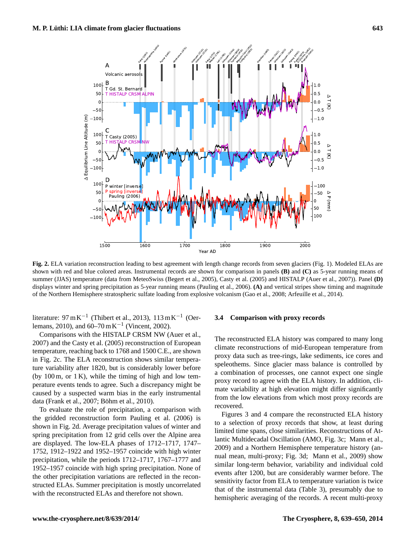

<span id="page-4-0"></span>**Fig. 2.** ELA variation reconstruction leading to best agreement with length change records from seven glaciers (Fig. [1\)](#page-2-0). Modeled ELAs are shown with red and blue colored areas. Instrumental records are shown for comparison in panels **(B)** and **(C)** as 5-year running means of summer (JJAS) temperature (data from MeteoSwiss [\(Begert et al.,](#page-9-11) [2005\)](#page-9-11), [Casty et al.](#page-9-2) [\(2005\)](#page-9-2) and HISTALP [\(Auer et al.,](#page-9-12) [2007\)](#page-9-12)). Panel **(D)** displays winter and spring precipitation as 5-year running means [\(Pauling et al.,](#page-11-13) [2006\)](#page-11-13). **(A)** and vertical stripes show timing and magnitude of the Northern Hemisphere stratospheric sulfate loading from explosive volcanism [\(Gao et al.,](#page-9-13) [2008;](#page-9-13) [Arfeuille et al.,](#page-9-14) [2014\)](#page-9-14).

literature:  $97 \text{ mK}^{-1}$  [\(Thibert et al.,](#page-11-9) [2013\)](#page-11-9), 113 mK<sup>-1</sup> [\(Oer](#page-10-24)[lemans,](#page-10-24) [2010\)](#page-10-24), and  $60-70 \text{ m K}^{-1}$  [\(Vincent,](#page-11-15) [2002\)](#page-11-15).

Comparisons with the HISTALP CRSM NW [\(Auer et al.,](#page-9-12) [2007\)](#page-9-12) and the [Casty et al.](#page-9-2) [\(2005\)](#page-9-2) reconstruction of European temperature, reaching back to 1768 and 1500 C.E., are shown in Fig. [2c](#page-4-0). The ELA reconstruction shows similar temperature variability after 1820, but is considerably lower before (by  $100 \text{ m}$ , or  $1 \text{ K}$ ), while the timing of high and low temperature events tends to agree. Such a discrepancy might be caused by a suspected warm bias in the early instrumental data [\(Frank et al.,](#page-9-15) [2007;](#page-9-15) [Böhm et al.,](#page-9-16) [2010\)](#page-9-16).

To evaluate the role of precipitation, a comparison with the gridded reconstruction form [Pauling et al.](#page-11-13) [\(2006\)](#page-11-13) is shown in Fig. [2d](#page-4-0). Average precipitation values of winter and spring precipitation from 12 grid cells over the Alpine area are displayed. The low-ELA phases of 1712–1717, 1747– 1752, 1912–1922 and 1952–1957 coincide with high winter precipitation, while the periods 1712–1717, 1767–1777 and 1952–1957 coincide with high spring precipitation. None of the other precipitation variations are reflected in the reconstructed ELAs. Summer precipitation is mostly uncorrelated with the reconstructed ELAs and therefore not shown.

#### **3.4 Comparison with proxy records**

The reconstructed ELA history was compared to many long climate reconstructions of mid-European temperature from proxy data such as tree-rings, lake sediments, ice cores and speleothems. Since glacier mass balance is controlled by a combination of processes, one cannot expect one single proxy record to agree with the ELA history. In addition, climate variability at high elevation might differ significantly from the low elevations from which most proxy records are recovered.

Figures [3](#page-5-0) and [4](#page-6-0) compare the reconstructed ELA history to a selection of proxy records that show, at least during limited time spans, close similarities. Reconstructions of Atlantic Multidecadal Oscillation (AMO, Fig. [3c](#page-5-0); [Mann et al.,](#page-10-1) [2009\)](#page-10-1) and a Northern Hemisphere temperature history (annual mean, multi-proxy; Fig. [3d](#page-5-0); [Mann et al.,](#page-10-1) [2009\)](#page-10-1) show similar long-term behavior, variability and individual cold events after 1200, but are considerably warmer before. The sensitivity factor from ELA to temperature variation is twice that of the instrumental data (Table [3\)](#page-3-1), presumably due to hemispheric averaging of the records. A recent multi-proxy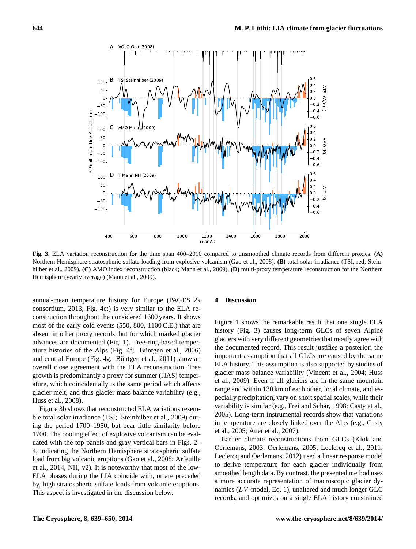

<span id="page-5-0"></span>**Fig. 3.** ELA variation reconstruction for the time span 400–2010 compared to unsmoothed climate records from different proxies. **(A)** Northern Hemisphere stratospheric sulfate loading from explosive volcanism [\(Gao et al.,](#page-9-13) [2008\)](#page-9-13). **(B)** total solar irradiance (TSI, red; [Stein](#page-11-14)[hilber et al.,](#page-11-14) [2009\)](#page-11-14), **(C)** AMO index reconstruction (black; [Mann et al.,](#page-10-1) [2009\)](#page-10-1), **(D)** multi-proxy temperature reconstruction for the Northern Hemisphere (yearly average) [\(Mann et al.,](#page-10-1) [2009\)](#page-10-1).

annual-mean temperature history for Europe [\(PAGES 2k](#page-11-12) [consortium,](#page-11-12) [2013,](#page-11-12) Fig. [4e](#page-6-0);) is very similar to the ELA reconstruction throughout the considered 1600 years. It shows most of the early cold events (550, 800, 1100 C.E.) that are absent in other proxy records, but for which marked glacier advances are documented (Fig. [1\)](#page-2-0). Tree-ring-based temperature histories of the Alps (Fig. [4f](#page-6-0); [Büntgen et al.,](#page-9-0) [2006\)](#page-9-0) and central Europe (Fig. [4g](#page-6-0); [Büntgen et al.,](#page-9-1) [2011\)](#page-9-1) show an overall close agreement with the ELA reconstruction. Tree growth is predominantly a proxy for summer (JJAS) temperature, which coincidentally is the same period which affects glacier melt, and thus glacier mass balance variability (e.g., [Huss et al.,](#page-10-22) [2008\)](#page-10-22).

Figure [3b](#page-5-0) shows that reconstructed ELA variations resemble total solar irradiance (TSI; [Steinhilber et al.,](#page-11-14) [2009\)](#page-11-14) during the period 1700–1950, but bear little similarity before 1700. The cooling effect of explosive volcanism can be evaluated with the top panels and gray vertical bars in Figs. [2–](#page-4-0) [4,](#page-6-0) indicating the Northern Hemisphere stratospheric sulfate load from big volcanic eruptions [\(Gao et al.,](#page-9-13) [2008;](#page-9-13) [Arfeuille](#page-9-14) [et al.,](#page-9-14) [2014,](#page-9-14) NH, v2). It is noteworthy that most of the low-ELA phases during the LIA coincide with, or are preceded by, high stratospheric sulfate loads from volcanic eruptions. This aspect is investigated in the discussion below.

#### **4 Discussion**

Figure [1](#page-2-0) shows the remarkable result that one single ELA history (Fig. [3\)](#page-5-0) causes long-term GLCs of seven Alpine glaciers with very different geometries that mostly agree with the documented record. This result justifies a posteriori the important assumption that all GLCs are caused by the same ELA history. This assumption is also supported by studies of glacier mass balance variability [\(Vincent et al.,](#page-11-7) [2004;](#page-11-7) [Huss](#page-10-21) [et al.,](#page-10-21) [2009\)](#page-10-21). Even if all glaciers are in the same mountain range and within 130 km of each other, local climate, and especially precipitation, vary on short spatial scales, while their variability is similar (e.g., [Frei and Schär,](#page-9-17) [1998;](#page-9-17) [Casty et al.,](#page-9-2) [2005\)](#page-9-2). Long-term instrumental records show that variations in temperature are closely linked over the Alps (e.g., [Casty](#page-9-2) [et al.,](#page-9-2) [2005;](#page-9-2) [Auer et al.,](#page-9-12) [2007\)](#page-9-12).

Earlier climate reconstructions from GLCs [\(Klok and](#page-10-5) [Oerlemans,](#page-10-5) [2003;](#page-10-5) [Oerlemans,](#page-10-8) [2005;](#page-10-8) [Leclercq et al.,](#page-10-9) [2011;](#page-10-9) [Leclercq and Oerlemans,](#page-10-10) [2012\)](#page-10-10) used a linear response model to derive temperature for each glacier individually from smoothed length data. By contrast, the presented method uses a more accurate representation of macroscopic glacier dynamics  $(LV$ -model, Eq. [1\)](#page-1-1), unaltered and much longer GLC records, and optimizes on a single ELA history constrained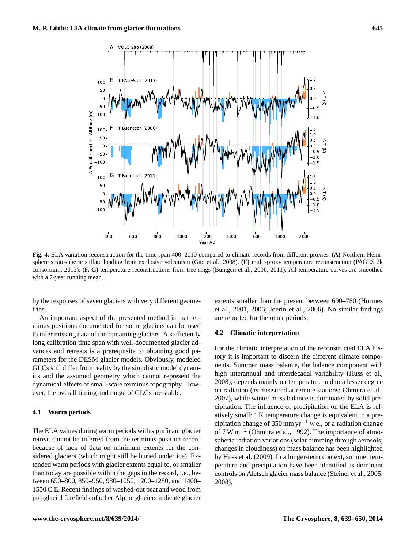

<span id="page-6-0"></span>**Fig. 4.** ELA variation reconstruction for the time span 400–2010 compared to climate records from different proxies. **(A)** Northern Hemisphere stratospheric sulfate loading from explosive volcanism [\(Gao et al.,](#page-9-13) [2008\)](#page-9-13). **(E)** multi-proxy temperature reconstruction [\(PAGES 2k](#page-11-12) [consortium,](#page-11-12) [2013\)](#page-11-12). **(F, G)** temperature reconstructions from tree rings [\(Büntgen et al.,](#page-9-0) [2006,](#page-9-0) [2011\)](#page-9-1). All temperature curves are smoothed with a 7-year running mean.

by the responses of seven glaciers with very different geometries.

An important aspect of the presented method is that terminus positions documented for some glaciers can be used to infer missing data of the remaining glaciers. A sufficiently long calibration time span with well-documented glacier advances and retreats is a prerequisite to obtaining good parameters for the DESM glacier models. Obviously, modeled GLCs still differ from reality by the simplistic model dynamics and the assumed geometry which cannot represent the dynamical effects of small-scale terminus topography. However, the overall timing and range of GLCs are stable.

# **4.1 Warm periods**

The ELA values during warm periods with significant glacier retreat cannot be inferred from the terminus position record because of lack of data on minimum extents for the considered glaciers (which might still be buried under ice). Extended warm periods with glacier extents equal to, or smaller than today are possible within the gaps in the record, i.e., between 650–800, 850–950, 980–1050, 1200–1280, and 1400– 1550 C.E. Recent findings of washed-out peat and wood from pro-glacial forefields of other Alpine glaciers indicate glacier extents smaller than the present between 690–780 [\(Hormes](#page-10-25) [et al.,](#page-10-25) [2001,](#page-10-25) [2006;](#page-10-26) [Joerin et al.,](#page-10-27) [2006\)](#page-10-27). No similar findings are reported for the other periods.

# **4.2 Climatic interpretation**

For the climatic interpretation of the reconstructed ELA history it is important to discern the different climate components. Summer mass balance, the balance component with high interannual and interdecadal variability [\(Huss et al.,](#page-10-22) [2008\)](#page-10-22), depends mainly on temperature and to a lesser degree on radiation (as measured at remote stations; [Ohmura et al.,](#page-11-8) [2007\)](#page-11-8), while winter mass balance is dominated by solid precipitation. The influence of precipitation on the ELA is relatively small: 1 K temperature change is equivalent to a precipitation change of 350 mm yr<sup>-1</sup> w.e., or a radiation change of 7 W m−<sup>2</sup> [\(Ohmura et al.,](#page-11-16) [1992\)](#page-11-16). The importance of atmospheric radiation variations (solar dimming through aerosols; changes in cloudiness) on mass balance has been highlighted by [Huss et al.](#page-10-21) [\(2009\)](#page-10-21). In a longer-term context, summer temperature and precipitation have been identified as dominant controls on Aletsch glacier mass balance [\(Steiner et al.,](#page-11-2) [2005,](#page-11-2) [2008\)](#page-11-17).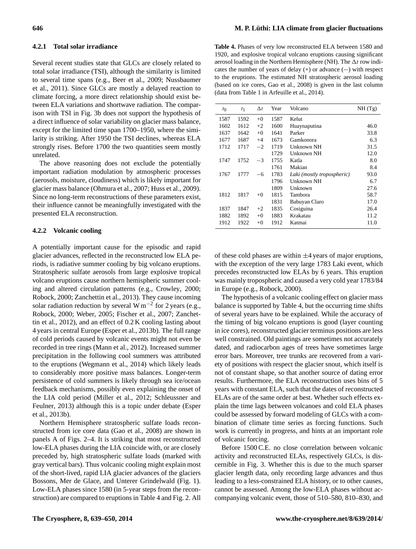## **4.2.1 Total solar irradiance**

Several recent studies state that GLCs are closely related to total solar irradiance (TSI), although the similarity is limited to several time spans (e.g., [Beer et al.,](#page-9-4) [2009;](#page-9-4) [Nussbaumer](#page-10-2) [et al.,](#page-10-2) [2011\)](#page-10-2). Since GLCs are mostly a delayed reaction to climate forcing, a more direct relationship should exist between ELA variations and shortwave radiation. The comparison with TSI in Fig. [3b](#page-5-0) does not support the hypothesis of a direct influence of solar variability on glacier mass balance, except for the limited time span 1700–1950, where the similarity is striking. After 1950 the TSI declines, whereas ELA strongly rises. Before 1700 the two quantities seem mostly unrelated.

The above reasoning does not exclude the potentially important radiation modulation by atmospheric processes (aerosols, moisture, cloudiness) which is likely important for glacier mass balance [\(Ohmura et al.,](#page-11-8) [2007;](#page-11-8) [Huss et al.,](#page-10-21) [2009\)](#page-10-21). Since no long-term reconstructions of these parameters exist, their influence cannot be meaningfully investigated with the presented ELA reconstruction.

# **4.2.2 Volcanic cooling**

A potentially important cause for the episodic and rapid glacier advances, reflected in the reconstructed low ELA periods, is radiative summer cooling by big volcano eruptions. Stratospheric sulfate aerosols from large explosive tropical volcano eruptions cause northern hemispheric summer cooling and altered circulation patterns (e.g., [Crowley,](#page-9-18) [2000;](#page-9-18) [Robock,](#page-11-18) [2000;](#page-11-18) [Zanchettin et al.,](#page-11-19) [2013\)](#page-11-19). They cause incoming solar radiation reduction by several W m<sup>-2</sup> for 2 years (e.g., [Robock,](#page-11-18) [2000;](#page-11-18) [Weber,](#page-11-20) [2005;](#page-11-20) [Fischer et al.,](#page-9-19) [2007;](#page-9-19) [Zanchet](#page-11-21)[tin et al.,](#page-11-21) [2012\)](#page-11-21), and an effect of 0.2 K cooling lasting about 4 years in central Europe [\(Esper et al.,](#page-9-20) [2013b\)](#page-9-20). The full range of cold periods caused by volcanic events might not even be recorded in tree rings [\(Mann et al.,](#page-10-28) [2012\)](#page-10-28). Increased summer precipitation in the following cool summers was attributed to the eruptions [\(Wegmann et al.,](#page-11-22) [2014\)](#page-11-22) which likely leads to considerably more positive mass balances. Longer-term persistence of cold summers is likely through sea ice/ocean feedback mechanisms, possibly even explaining the onset of the LIA cold period [\(Miller et al.,](#page-10-29) [2012;](#page-10-29) [Schleussner and](#page-11-23) [Feulner,](#page-11-23) [2013\)](#page-11-23) although this is a topic under debate [\(Esper](#page-9-20) [et al.,](#page-9-20) [2013b\)](#page-9-20).

Northern Hemisphere stratospheric sulfate loads reconstructed from ice core data [\(Gao et al.,](#page-9-13) [2008\)](#page-9-13) are shown in panels A of Figs. [2–](#page-4-0)[4.](#page-6-0) It is striking that most reconstructed low-ELA phases during the LIA coincide with, or are closely preceded by, high stratospheric sulfate loads (marked with gray vertical bars). Thus volcanic cooling might explain most of the short-lived, rapid LIA glacier advances of the glaciers Bossons, Mer de Glace, and Unterer Grindelwald (Fig. [1\)](#page-2-0). Low-ELA phases since 1580 (in 5-year steps from the reconstruction) are compared to eruptions in Table [4](#page-7-0) and Fig. [2.](#page-4-0) All

<span id="page-7-0"></span>**Table 4.** Phases of very low reconstructed ELA between 1580 and 1920, and explosive tropical volcano eruptions causing significant aerosol loading in the Northern Hemisphere (NH). The  $\Delta t$  row indicates the number of years of delay  $(+)$  or advance  $(-)$  with respect to the eruptions. The estimated NH stratospheric aerosol loading (based on ice cores, [Gao et al.,](#page-9-13) [2008\)](#page-9-13) is given in the last column (data from Table 1 in [Arfeuille et al.,](#page-9-14) [2014\)](#page-9-14).

| $t_{0}$ | $t_1$ | $\Delta t$ | Year | Volcano                    | NH(Tg) |
|---------|-------|------------|------|----------------------------|--------|
| 1587    | 1592  | $+0$       | 1587 | Kelut                      |        |
| 1602    | 1612  | $+2$       | 1600 | Huaynaputina               | 46.0   |
| 1637    | 1642  | $+0$       | 1641 | Parker                     | 33.8   |
| 1677    | 1687  | $+4$       | 1673 | Gamkonora                  | 6.3    |
| 1712    | 1717  | $-2$       | 1719 | Unknown NH                 | 31.5   |
|         |       |            | 1729 | Unknown NH                 | 12.0   |
| 1747    | 1752  | -3         | 1755 | Katla                      | 8.0    |
|         |       |            | 1761 | Makian                     | 8.4    |
| 1767    | 1777  | $-6$       | 1783 | Laki (mostly tropospheric) | 93.0   |
|         |       |            | 1796 | <b>Unknown NH</b>          | 6.7    |
|         |       |            | 1809 | Unknown                    | 27.6   |
| 1812    | 1817  | $+0$       | 1815 | Tambora                    | 58.7   |
|         |       |            | 1831 | Babuyan Claro              | 17.0   |
| 1837    | 1847  | $+2$       | 1835 | Cosiguina                  | 26.4   |
| 1882    | 1892  | $+0$       | 1883 | Krakatau                   | 11.2   |
| 1912    | 1922  | $+0$       | 1912 | Katmai                     | 11.0   |

of these cold phases are within  $\pm 4$  years of major eruptions, with the exception of the very large 1783 Laki event, which precedes reconstructed low ELAs by 6 years. This eruption was mainly tropospheric and caused a very cold year 1783/84 in Europe (e.g., [Robock,](#page-11-18) [2000\)](#page-11-18).

The hypothesis of a volcanic cooling effect on glacier mass balance is supported by Table [4,](#page-7-0) but the occurring time shifts of several years have to be explained. While the accuracy of the timing of big volcano eruptions is good (layer counting in ice cores), reconstructed glacier terminus positions are less well constrained. Old paintings are sometimes not accurately dated, and radiocarbon ages of trees have sometimes large error bars. Moreover, tree trunks are recovered from a variety of positions with respect the glacier snout, which itself is not of constant shape, so that another source of dating error results. Furthermore, the ELA reconstruction uses bins of 5 years with constant ELA, such that the dates of reconstructed ELAs are of the same order at best. Whether such effects explain the time lags between volcanoes and cold ELA phases could be assessed by forward modeling of GLCs with a combination of climate time series as forcing functions. Such work is currently in progress, and hints at an important role of volcanic forcing.

Before 1500 C.E. no close correlation between volcanic activity and reconstructed ELAs, respectively GLCs, is discernible in Fig. [3.](#page-5-0) Whether this is due to the much sparser glacier length data, only recording large advances and thus leading to a less-constrained ELA history, or to other causes, cannot be assessed. Among the low-ELA phases without accompanying volcanic event, those of 510–580, 810–830, and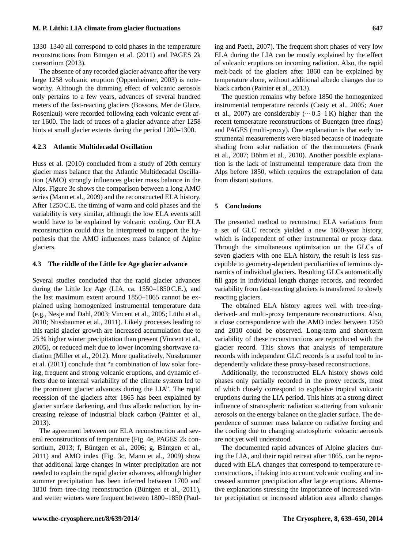1330–1340 all correspond to cold phases in the temperature reconstructions from [Büntgen et al.](#page-9-1) [\(2011\)](#page-9-1) and [PAGES 2k](#page-11-12) [consortium](#page-11-12) [\(2013\)](#page-11-12).

The absence of any recorded glacier advance after the very large 1258 volcanic eruption [\(Oppenheimer,](#page-11-24) [2003\)](#page-11-24) is noteworthy. Although the dimming effect of volcanic aerosols only pertains to a few years, advances of several hundred meters of the fast-reacting glaciers (Bossons, Mer de Glace, Rosenlaui) were recorded following each volcanic event after 1600. The lack of traces of a glacier advance after 1258 hints at small glacier extents during the period 1200–1300.

# **4.2.3 Atlantic Multidecadal Oscillation**

[Huss et al.](#page-10-30) [\(2010\)](#page-10-30) concluded from a study of 20th century glacier mass balance that the Atlantic Multidecadal Oscillation (AMO) strongly influences glacier mass balance in the Alps. Figure [3c](#page-5-0) shows the comparison between a long AMO series [\(Mann et al.,](#page-10-1) [2009\)](#page-10-1) and the reconstructed ELA history. After 1250 C.E. the timing of warm and cold phases and the variability is very similar, although the low ELA events still would have to be explained by volcanic cooling. Our ELA reconstruction could thus be interpreted to support the hypothesis that the AMO influences mass balance of Alpine glaciers.

## **4.3 The riddle of the Little Ice Age glacier advance**

Several studies concluded that the rapid glacier advances during the Little Ice Age (LIA, ca. 1550–1850 C.E.), and the last maximum extent around 1850–1865 cannot be explained using homogenized instrumental temperature data (e.g., [Nesje and Dahl,](#page-10-31) [2003;](#page-10-31) [Vincent et al.,](#page-11-10) [2005;](#page-11-10) [Lüthi et al.,](#page-10-20) [2010;](#page-10-20) [Nussbaumer et al.,](#page-10-2) [2011\)](#page-10-2). Likely processes leading to this rapid glacier growth are increased accumulation due to 25 % higher winter precipitation than present [\(Vincent et al.,](#page-11-10) [2005\)](#page-11-10), or reduced melt due to lower incoming shortwave radiation [\(Miller et al.,](#page-10-29) [2012\)](#page-10-29). More qualitatively, [Nussbaumer](#page-10-2) [et al.](#page-10-2) [\(2011\)](#page-10-2) conclude that "a combination of low solar forcing, frequent and strong volcanic eruptions, and dynamic effects due to internal variability of the climate system led to the prominent glacier advances during the LIA". The rapid recession of the glaciers after 1865 has been explained by glacier surface darkening, and thus albedo reduction, by increasing release of industrial black carbon [\(Painter et al.,](#page-11-25) [2013\)](#page-11-25).

The agreement between our ELA reconstruction and several reconstructions of temperature (Fig. [4e](#page-6-0), [PAGES 2k con](#page-11-12)[sortium,](#page-11-12) [2013;](#page-11-12) f, [Büntgen et al.,](#page-9-0) [2006;](#page-9-0) g, [Büntgen et al.,](#page-9-1) [2011\)](#page-9-1) and AMO index (Fig. [3c](#page-5-0), [Mann et al.,](#page-10-1) [2009\)](#page-10-1) show that additional large changes in winter precipitation are not needed to explain the rapid glacier advances, although higher summer precipitation has been inferred between 1700 and 1810 from tree-ring reconstruction [\(Büntgen et al.,](#page-9-1) [2011\)](#page-9-1), and wetter winters were frequent between 1800–1850 [\(Paul-](#page-11-26)

[ing and Paeth,](#page-11-26) [2007\)](#page-11-26). The frequent short phases of very low ELA during the LIA can be mostly explained by the effect of volcanic eruptions on incoming radiation. Also, the rapid melt-back of the glaciers after 1860 can be explained by temperature alone, without additional albedo changes due to black carbon [\(Painter et al.,](#page-11-25) [2013\)](#page-11-25).

The question remains why before 1850 the homogenized instrumental temperature records [\(Casty et al.,](#page-9-2) [2005;](#page-9-2) [Auer](#page-9-12) [et al.,](#page-9-12) [2007\)](#page-9-12) are considerably ( $\sim$  0.5–1 K) higher than the recent temperature reconstructions of Buentgen (tree rings) and PAGES (multi-proxy). One explanation is that early instrumental measurements were biased because of inadequate shading from solar radiation of the thermometers [\(Frank](#page-9-15) [et al.,](#page-9-15) [2007;](#page-9-15) [Böhm et al.,](#page-9-16) [2010\)](#page-9-16). Another possible explanation is the lack of instrumental temperature data from the Alps before 1850, which requires the extrapolation of data from distant stations.

## **5 Conclusions**

The presented method to reconstruct ELA variations from a set of GLC records yielded a new 1600-year history, which is independent of other instrumental or proxy data. Through the simultaneous optimization on the GLCs of seven glaciers with one ELA history, the result is less susceptible to geometry-dependent peculiarities of terminus dynamics of individual glaciers. Resulting GLCs automatically fill gaps in individual length change records, and recorded variability from fast-reacting glaciers is transferred to slowly reacting glaciers.

The obtained ELA history agrees well with tree-ringderived- and multi-proxy temperature reconstructions. Also, a close correspondence with the AMO index between 1250 and 2010 could be observed. Long-term and short-term variability of these reconstructions are reproduced with the glacier record. This shows that analysis of temperature records with independent GLC records is a useful tool to independently validate these proxy-based reconstructions.

Additionally, the reconstructed ELA history shows cold phases only partially recorded in the proxy records, most of which closely correspond to explosive tropical volcanic eruptions during the LIA period. This hints at a strong direct influence of stratospheric radiation scattering from volcanic aerosols on the energy balance on the glacier surface. The dependence of summer mass balance on radiative forcing and the cooling due to changing stratospheric volcanic aerosols are not yet well understood.

The documented rapid advances of Alpine glaciers during the LIA, and their rapid retreat after 1865, can be reproduced with ELA changes that correspond to temperature reconstructions, if taking into account volcanic cooling and increased summer precipitation after large eruptions. Alternative explanations stressing the importance of increased winter precipitation or increased ablation area albedo changes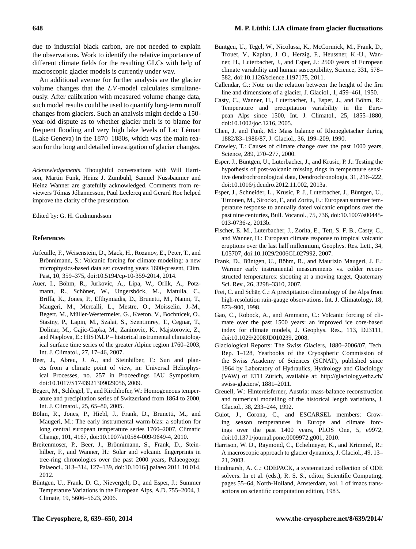due to industrial black carbon, are not needed to explain the observations. Work to identify the relative importance of different climate fields for the resulting GLCs with help of macroscopic glacier models is currently under way.

An additional avenue for further analysis are the glacier volume changes that the  $LV$ -model calculates simultaneously. After calibration with measured volume change data, such model results could be used to quantify long-term runoff changes from glaciers. Such an analysis might decide a 150 year-old dispute as to whether glacier melt is to blame for frequent flooding and very high lake levels of Lac Léman (Lake Geneva) in the 1870–1880s, which was the main reason for the long and detailed investigation of glacier changes.

*Acknowledgements.* Thoughtful conversations with Will Harrison, Martin Funk, Heinz J. Zumbühl, Samuel Nussbaumer and Heinz Wanner are gratefully acknowledged. Comments from reviewers Tómas Jóhannesson, Paul Leclercq and Gerard Roe helped improve the clarity of the presentation.

Edited by: G. H. Gudmundsson

## **References**

- <span id="page-9-14"></span>Arfeuille, F., Weisenstein, D., Mack, H., Rozanov, E., Peter, T., and Brönnimann, S.: Volcanic forcing for climate modeling: a new microphysics-based data set covering years 1600-present, Clim. Past, 10, 359–375, doi[:10.5194/cp-10-359-2014,](http://dx.doi.org/10.5194/cp-10-359-2014) 2014.
- <span id="page-9-12"></span>Auer, I., Böhm, R., Jurkovic, A., Lipa, W., Orlik, A., Potzmann, R., Schöner, W., Ungersböck, M., Matulla, C., Briffa, K., Jones, P., Efthymiadis, D., Brunetti, M., Nanni, T., Maugeri, M., Mercalli, L., Mestre, O., Moisselin, J.-M., Begert, M., Müller-Westermeier, G., Kveton, V., Bochnicek, O., Stastny, P., Lapin, M., Szalai, S., Szentimrey, T., Cegnar, T., Dolinar, M., Gajic-Capka, M., Zaninovic, K., Majstorovic, Z., and Nieplova, E.: HISTALP – historical instrumental climatological surface time series of the greater Alpine region 1760–2003, Int. J. Climatol., 27, 17–46, 2007.
- <span id="page-9-4"></span>Beer, J., Abreu, J. A., and Steinhilber, F.: Sun and planets from a climate point of view, in: Universal Heliophysical Processes, no. 257 in Proceedings IAU Symposium, doi[:10.1017/S1743921309029056,](http://dx.doi.org/10.1017/S1743921309029056) 2009.
- <span id="page-9-11"></span>Begert, M., Schlegel, T., and Kirchhofer, W.: Homogeneous temperature and precipitation series of Switzerland from 1864 to 2000, Int. J. Climatol., 25, 65–80, 2005.
- <span id="page-9-16"></span>Böhm, R., Jones, P., Hiebl, J., Frank, D., Brunetti, M., and Maugeri, M.: The early instrumental warm-bias: a solution for long central european temperature series 1760–2007, Climatic Change, 101, 4167, doi[:10.1007/s10584-009-9649-4,](http://dx.doi.org/10.1007/s10584-009-9649-4) 2010.
- Breitenmoser, P., Beer, J., Brönnimann, S., Frank, D., Steinhilber, F., and Wanner, H.: Solar and volcanic fingerprints in tree-ring chronologies over the past 2000 years, Palaeogeogr. Palaeocl., 313–314, 127–139, doi[:10.1016/j.palaeo.2011.10.014,](http://dx.doi.org/10.1016/j.palaeo.2011.10.014) 2012.
- <span id="page-9-0"></span>Büntgen, U., Frank, D. C., Nievergelt, D., and Esper, J.: Summer Temperature Variations in the European Alps, A.D. 755–2004, J. Climate, 19, 5606–5623, 2006.
- <span id="page-9-1"></span>Büntgen, U., Tegel, W., Nicolussi, K., McCormick, M., Frank, D., Trouet, V., Kaplan, J. O., Herzig, F., Heussner, K.-U., Wanner, H., Luterbacher, J., and Esper, J.: 2500 years of European climate variability and human susceptibility, Science, 331, 578– 582, doi[:10.1126/science.1197175,](http://dx.doi.org/10.1126/science.1197175) 2011.
- <span id="page-9-5"></span>Callendar, G.: Note on the relation between the height of the firn line and dimensions of a glacier, J. Glaciol., 1, 459–461, 1950.
- <span id="page-9-2"></span>Casty, C., Wanner, H., Luterbacher, J., Esper, J., and Böhm, R.: Temperature and precipitation variability in the European Alps since 1500, Int. J. Climatol., 25, 1855–1880, doi[:10.1002/joc.1216,](http://dx.doi.org/10.1002/joc.1216) 2005.
- <span id="page-9-10"></span>Chen, J. and Funk, M.: Mass balance of Rhonegletscher during 1882/83–1986/87, J. Glaciol., 36, 199–209, 1990.
- <span id="page-9-18"></span>Crowley, T.: Causes of climate change over the past 1000 years, Science, 289, 270–277, 2000.
- Esper, J., Büntgen, U., Luterbacher, J., and Krusic, P. J.: Testing the hypothesis of post-volcanic missing rings in temperature sensitive dendrochronological data, Dendrochronologia, 31, 216–222, doi[:10.1016/j.dendro.2012.11.002,](http://dx.doi.org/10.1016/j.dendro.2012.11.002) 2013a.
- <span id="page-9-20"></span>Esper, J., Schneider, L., Krusic, P. J., Luterbacher, J., Büntgen, U., Timonen, M., Sirocko, F., and Zorita, E.: European summer temperature response to annually dated volcanic eruptions over the past nine centuries, Bull. Vocanol., 75, 736, doi[:10.1007/s00445-](http://dx.doi.org/10.1007/s00445-013-0736-z) [013-0736-z,](http://dx.doi.org/10.1007/s00445-013-0736-z) 2013b.
- <span id="page-9-19"></span>Fischer, E. M., Luterbacher, J., Zorita, E., Tett, S. F. B., Casty, C., and Wanner, H.: European climate response to tropical volcanic eruptions over the last half millennium, Geophys. Res. Lett., 34, L05707, doi[:10.1029/2006GL027992,](http://dx.doi.org/10.1029/2006GL027992) 2007.
- <span id="page-9-15"></span>Frank, D., Büntgen, U., Böhm, R., and Maurizio Maugeri, J. E.: Warmer early instrumental measurements vs. colder reconstructed temperatures: shooting at a moving target, Quaternary Sci. Rev., 26, 3298–3310, 2007.
- <span id="page-9-17"></span>Frei, C. and Schär, C.: A precipitation climatology of the Alps from high-resolution rain-gauge observations, Int. J. Climatology, 18, 873–900, 1998.
- <span id="page-9-13"></span>Gao, C., Robock, A., and Ammann, C.: Volcanic forcing of climate over the past 1500 years: an improved ice core-based index for climate models, J. Geophys. Res., 113, D23111, doi[:10.1029/2008JD010239,](http://dx.doi.org/10.1029/2008JD010239) 2008.
- <span id="page-9-8"></span>Glaciological Reports: The Swiss Glaciers, 1880–2006/07, Tech. Rep. 1–128, Yearbooks of the Cryospheric Commission of the Swiss Academy of Sciences (SCNAT), published since 1964 by Laboratory of Hydraulics, Hydrology and Glaciology (VAW) of ETH Zürich, available at: [http://glaciology.ethz.ch/](http://glaciology.ethz.ch/swiss-glaciers/) [swiss-glaciers/,](http://glaciology.ethz.ch/swiss-glaciers/) 1881–2011.
- <span id="page-9-6"></span>Greuell, W.: Hintereisferner, Austria: mass-balance reconstruction and numerical modelling of the historical length variations, J. Glaciol., 38, 233–244, 1992.
- <span id="page-9-3"></span>Guiot, J., Corona, C., and ESCARSEL members: Growing season temperatures in Europe and climate forcings over the past 1400 years, PLOS One, 5, e9972, doi[:10.1371/journal.pone.0009972.g001,](http://dx.doi.org/10.1371/journal.pone.0009972.g001) 2010.
- <span id="page-9-7"></span>Harrison, W. D., Raymond, C., Echelmeyer, K., and Krimmel, R.: A macroscopic approach to glacier dynamics, J. Glaciol., 49, 13– 21, 2003.
- <span id="page-9-9"></span>Hindmarsh, A. C.: ODEPACK, a systematized collection of ODE solvers. In et al. (eds.), R. S. S., editor, Scientific Computing, pages 55–64, North-Holland, Amsterdam, vol. 1 of imacs transactions on scientific computation edition, 1983.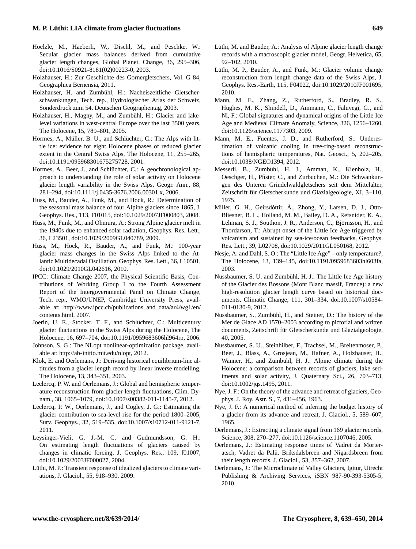# **M. P. Lüthi: LIA climate from glacier fluctuations 649**

- <span id="page-10-7"></span>Hoelzle, M., Haeberli, W., Dischl, M., and Peschke, W.: Secular glacier mass balances derived from cumulative glacier length changes, Global Planet. Change, 36, 295–306, doi[:10.1016/S0921-8181\(02\)00223-0,](http://dx.doi.org/10.1016/S0921-8181(02)00223-0) 2003.
- <span id="page-10-14"></span>Holzhauser, H.: Zur Geschichte des Gornergletschers, Vol. G 84, Geographica Bernensia, 2011.
- <span id="page-10-18"></span>Holzhauser, H. and Zumbühl, H.: Nacheiszeitliche Gletscherschwankungen, Tech. rep., Hydrologischer Atlas der Schweiz, Sonderdruck zum 54. Deutschen Geographentag, 2003.
- <span id="page-10-15"></span>Holzhauser, H., Magny, M., and Zumbühl, H.: Glacier and lakelevel variations in west-central Europe over the last 3500 years, The Holocene, 15, 789–801, 2005.
- <span id="page-10-25"></span>Hormes, A., Müller, B. U., and Schlüchter, C.: The Alps with little ice: evidence for eight Holocene phases of reduced glacier extent in the Central Swiss Alps, The Holocene, 11, 255–265, doi[:10.1191/095968301675275728,](http://dx.doi.org/10.1191/095968301675275728) 2001.
- <span id="page-10-26"></span>Hormes, A., Beer, J., and Schlüchter, C.: A geochronological approach to understanding the role of solar activity on Holocene glacier length variability in the Swiss Alps, Geogr. Ann., 88, 281–294, doi[:10.1111/j.0435-3676.2006.00301.x,](http://dx.doi.org/10.1111/j.0435-3676.2006.00301.x) 2006.
- <span id="page-10-22"></span>Huss, M., Bauder, A., Funk, M., and Hock, R.: Determination of the seasonal mass balance of four Alpine glaciers since 1865, J. Geophys. Res., 113, F01015, doi[:10.1029/2007JF000803,](http://dx.doi.org/10.1029/2007JF000803) 2008.
- <span id="page-10-21"></span>Huss, M., Funk, M., and Ohmura, A.: Strong Alpine glacier melt in the 1940s due to enhanced solar radiation, Geophys. Res. Lett., 36, L23501, doi[:10.1029/2009GL040789,](http://dx.doi.org/10.1029/2009GL040789) 2009.
- <span id="page-10-30"></span>Huss, M., Hock, R., Bauder, A., and Funk, M.: 100-year glacier mass changes in the Swiss Alps linked to the Atlantic Multidecadal Oscillation, Geophys. Res. Lett., 36, L10501, doi[:10.1029/2010GL042616,](http://dx.doi.org/10.1029/2010GL042616) 2010.
- <span id="page-10-0"></span>IPCC: Climate Change 2007, the Physical Scientific Basis, Contributions of Working Group I to the Fourth Assessment Report of the Intergovernmental Panel on Climate Change, Tech. rep., WMO/UNEP, Cambridge University Press, available at: [http://www.ipcc.ch/publications\\_and\\_data/ar4/wg1/en/](http://www.ipcc.ch/publications_and_data/ar4/wg1/en/contents.html) [contents.html,](http://www.ipcc.ch/publications_and_data/ar4/wg1/en/contents.html) 2007.
- <span id="page-10-27"></span>Joerin, U. E., Stocker, T. F., and Schlüchter, C.: Multicentury glacier fluctuations in the Swiss Alps during the Holocene, The Holocene, 16, 697–704, doi[:10.1191/0959683606hl964rp,](http://dx.doi.org/10.1191/0959683606hl964rp) 2006.
- <span id="page-10-23"></span>Johnson, S. G.: The NLopt nonlinear-optimization package, available at: [http://ab-initio.mit.edu/nlopt,](http://ab-initio.mit.edu/nlopt) 2012.
- <span id="page-10-5"></span>Klok, E. and Oerlemans, J.: Deriving historical equilibrium-line altitudes from a glacier length record by linear inverse modelling, The Holocene, 13, 343–351, 2003.
- <span id="page-10-10"></span>Leclercq, P. W. and Oerlemans, J.: Global and hemispheric temperature reconstruction from glacier length fluctuations, Clim. Dynam., 38, 1065–1079, doi[:10.1007/s00382-011-1145-7,](http://dx.doi.org/10.1007/s00382-011-1145-7) 2012.
- <span id="page-10-9"></span>Leclercq, P. W., Oerlemans, J., and Cogley, J. G.: Estimating the glacier contribution to sea-level rise for the period 1800–2005, Surv. Geophys., 32, 519–535, doi[:10.1007/s10712-011-9121-7,](http://dx.doi.org/10.1007/s10712-011-9121-7) 2011.
- <span id="page-10-11"></span>Leysinger-Vieli, G. J.-M. C. and Gudmundsson, G. H.: On estimating length fluctuations of glaciers caused by changes in climatic forcing, J. Geophys. Res., 109, f01007, doi[:10.1029/2003JF000027,](http://dx.doi.org/10.1029/2003JF000027) 2004.
- <span id="page-10-12"></span>Lüthi, M. P.: Transient response of idealized glaciers to climate variations, J. Glaciol., 55, 918–930, 2009.
- <span id="page-10-19"></span>Lüthi, M. and Bauder, A.: Analysis of Alpine glacier length change records with a macroscopic glacier model, Geogr. Helvetica, 65, 92–102, 2010.
- <span id="page-10-20"></span>Lüthi, M. P., Bauder, A., and Funk, M.: Glacier volume change reconstruction from length change data of the Swiss Alps, J. Geophys. Res.-Earth, 115, F04022, doi[:10.1029/2010JF001695,](http://dx.doi.org/10.1029/2010JF001695) 2010.
- <span id="page-10-1"></span>Mann, M. E., Zhang, Z., Rutherford, S., Bradley, R. S., Hughes, M. K., Shindell, D., Ammann, C., Faluvegi, G., and Ni, F.: Global signatures and dynamical origins of the Little Ice Age and Medieval Climate Anomaly, Science, 326, 1256–1260, doi[:10.1126/science.1177303,](http://dx.doi.org/10.1126/science.1177303) 2009.
- <span id="page-10-28"></span>Mann, M. E., Fuentes, J. D., and Rutherford, S.: Underestimation of volcanic cooling in tree-ring-based reconstructions of hemispheric temperatures, Nat. Geosci., 5, 202–205, doi[:10.1038/NGEO1394,](http://dx.doi.org/10.1038/NGEO1394) 2012.
- <span id="page-10-17"></span>Messerli, B., Zumbühl, H. J., Amman, K., Kienholz, H., Oeschger, H., Pfister, C., and Zurbuchen, M.: Die Schwankungen des Unteren Grindelwaldgletschers seit dem Mittelalter, Zeitschrift für Gletscherkunde und Glazialgeologie, XI, 3–110, 1975.
- <span id="page-10-29"></span>Miller, G. H., Geirsdóttir, À., Zhong, Y., Larsen, D. J., Otto-Bliesner, B. L., Holland, M. M., Bailey, D. A., Refsnider, K. A., Lehman, S. J., Southon, J. R., Anderson, C., Björnsson, H., and Thordarson, T.: Abrupt onset of the Little Ice Age triggered by volcanism and sustained by sea-ice/ocean feedbacks, Geophys. Res. Lett., 39, L02708, doi[:10.1029/2011GL050168,](http://dx.doi.org/10.1029/2011GL050168) 2012.
- <span id="page-10-31"></span>Nesje, A. and Dahl, S. O.: The "Little Ice Age" – only temperature?, The Holocene, 13, 139–145, doi[:10.1191/0959683603hl603fa,](http://dx.doi.org/10.1191/0959683603hl603fa) 2003.
- <span id="page-10-13"></span>Nussbaumer, S. U. and Zumbühl, H. J.: The Little Ice Age history of the Glacier des Bossons (Mont Blanc massif, France): a new high-resolution glacier length curve based on historical documents, Climatic Change, 111, 301–334, doi[:10.1007/s10584-](http://dx.doi.org/10.1007/s10584-011-0130-9) [011-0130-9,](http://dx.doi.org/10.1007/s10584-011-0130-9) 2012.
- <span id="page-10-16"></span>Nussbaumer, S., Zumbühl, H., and Steiner, D.: The history of the Mer de Glace AD 1570–2003 according to pictorial and written documents, Zeitschrift für Gletscherkunde und Glazialgeologie, 40, 2005.
- <span id="page-10-2"></span>Nussbaumer, S. U., Steinhilber, F., Trachsel, M., Breitenmoser, P., Beer, J., Blass, A., Grosjean, M., Hafner, A., Holzhauser, H., Wanner, H., and Zumbühl, H. J.: Alpine climate during the Holocene: a comparison between records of glaciers, lake sediments and solar activity, J. Quaternary Sci., 26, 703–713, doi[:10.1002/jqs.1495,](http://dx.doi.org/10.1002/jqs.1495) 2011.
- <span id="page-10-3"></span>Nye, J. F.: On the theory of the advance and retreat of glaciers, Geophys. J. Roy. Astr. S., 7, 431–456, 1963.
- <span id="page-10-4"></span>Nye, J. F.: A numerical method of inferring the budget history of a glacier from its advance and retreat, J. Glaciol., 5, 589–607, 1965.
- <span id="page-10-8"></span>Oerlemans, J.: Extracting a climate signal from 169 glacier records, Science, 308, 270–277, doi[:10.1126/science.1107046,](http://dx.doi.org/10.1126/science.1107046) 2005.
- <span id="page-10-6"></span>Oerlemans, J.: Estimating response times of Vadret da Morteratsch, Vadret da Palü, Briksdalsbreen and Nigardsbreen from their length records, J. Glaciol., 53, 357–362, 2007.
- <span id="page-10-24"></span>Oerlemans, J.: The Microclimate of Valley Glaciers, Igitur, Utrecht Publishing & Archiving Services, iSBN 987-90-393-5305-5, 2010.